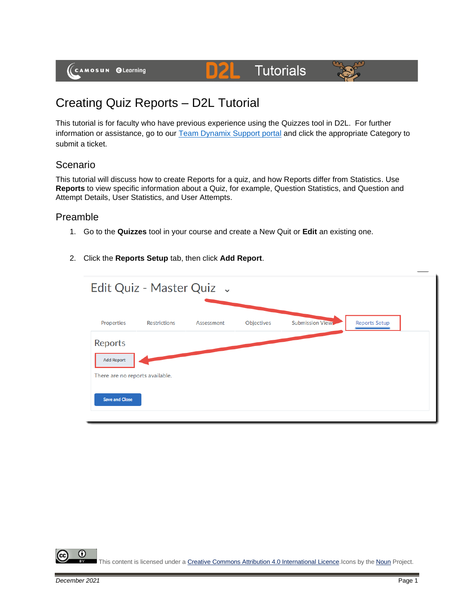# **Tutorials**



# Creating Quiz Reports – D2L Tutorial

This tutorial is for faculty who have previous experience using the Quizzes tool in D2L. For further information or assistance, go to our [Team Dynamix Support portal](https://camosun.teamdynamix.com/TDClient/67/Portal/Requests/ServiceCatalog?CategoryID=523) and click the appropriate Category to submit a ticket.

DŽ

### Scenario

This tutorial will discuss how to create Reports for a quiz, and how Reports differ from Statistics. Use **Reports** to view specific information about a Quiz, for example, Question Statistics, and Question and Attempt Details, User Statistics, and User Attempts.

#### Preamble

- 1. Go to the **Quizzes** tool in your course and create a New Quit or **Edit** an existing one.
- 2. Click the **Reports Setup** tab, then click **Add Report**.

| <b>Submission Views</b><br><b>Reports Setup</b><br>Objectives<br>Properties<br><b>Restrictions</b><br>Assessment<br>Reports<br><b>Add Report</b> | Edit Quiz - Master Quiz . |  |  |  |  |  |
|--------------------------------------------------------------------------------------------------------------------------------------------------|---------------------------|--|--|--|--|--|
|                                                                                                                                                  |                           |  |  |  |  |  |
|                                                                                                                                                  |                           |  |  |  |  |  |
| There are no reports available.<br><b>Save and Close</b>                                                                                         |                           |  |  |  |  |  |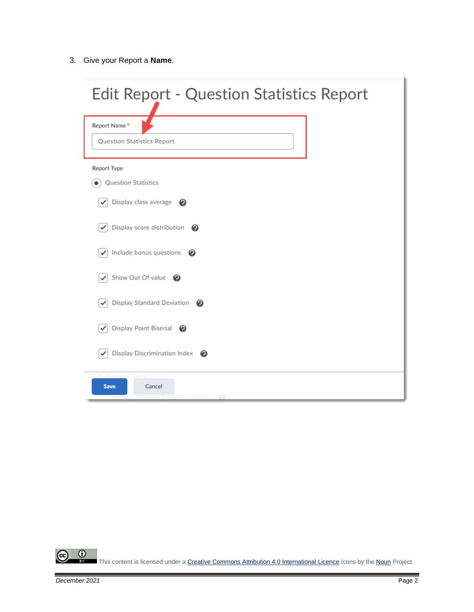3. Give your Report a **Name**.

| <b>Edit Report - Question Statistics Report</b>                      |  |  |  |  |
|----------------------------------------------------------------------|--|--|--|--|
| Report Name*<br>Question Statistics Report                           |  |  |  |  |
| <b>Report Type</b><br>Question Statistics                            |  |  |  |  |
| Display class average $\bigcirc$                                     |  |  |  |  |
| Display score distribution $\bullet$<br>Include bonus questions<br>ℯ |  |  |  |  |
| Show Out Of value                                                    |  |  |  |  |
| Display Standard Deviation<br>$\boldsymbol{O}$                       |  |  |  |  |
| Display Point Biserial<br>ℯ<br>✓                                     |  |  |  |  |
| Display Discrimination Index $\bigcirc$                              |  |  |  |  |
| Cancel<br><b>Save</b><br>⋒                                           |  |  |  |  |

 $\frac{0}{x}$ ල This content is licensed under [a Creative Commons Attribution 4.0 International Licence.I](https://creativecommons.org/licenses/by/4.0/)cons by the [Noun](https://creativecommons.org/website-icons/) Project.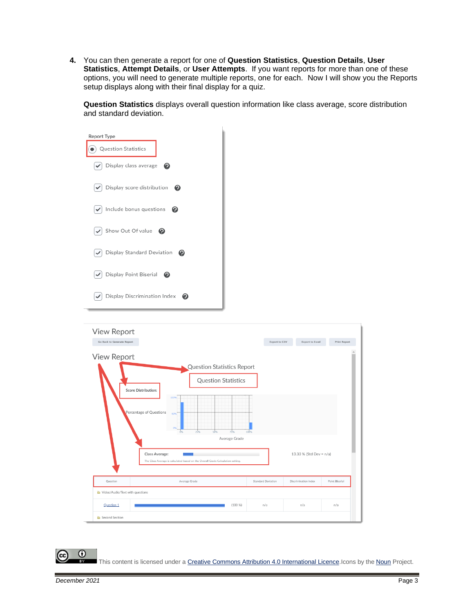**4.** You can then generate a report for one of **Question Statistics**, **Question Details**, **User Statistics**, **Attempt Details**, or **User Attempts**. If you want reports for more than one of these options, you will need to generate multiple reports, one for each. Now I will show you the Reports setup displays along with their final display for a quiz.

**Question Statistics** displays overall question information like class average, score distribution and standard deviation.

| <b>Report Type</b>                                    |
|-------------------------------------------------------|
| Question Statistics                                   |
| $\triangledown$ Display class average<br>❷            |
| $\blacktriangleright$ Display score distribution<br>ℯ |
| $\blacktriangleright$ Include bonus questions<br>❷    |
| $\blacktriangleright$ Show Out Of value<br>ℯ          |
| Display Standard Deviation<br>Q<br>$\checkmark$       |
| Display Point Biserial<br>$\checkmark$<br>❷           |
| Display Discrimination Index<br>e                     |



This content is licensed under [a Creative Commons Attribution 4.0 International Licence.I](https://creativecommons.org/licenses/by/4.0/)cons by the [Noun](https://creativecommons.org/website-icons/) Project.

 $\Omega$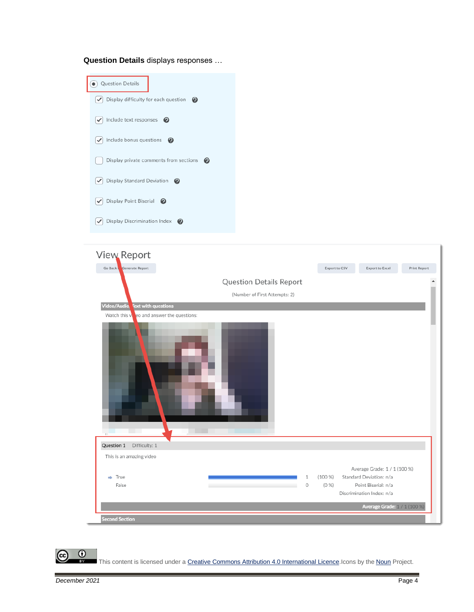**Question Details** displays responses …





 $\odot$ 

This content is licensed under [a Creative Commons Attribution 4.0 International Licence.I](https://creativecommons.org/licenses/by/4.0/)cons by the [Noun](https://creativecommons.org/website-icons/) Project.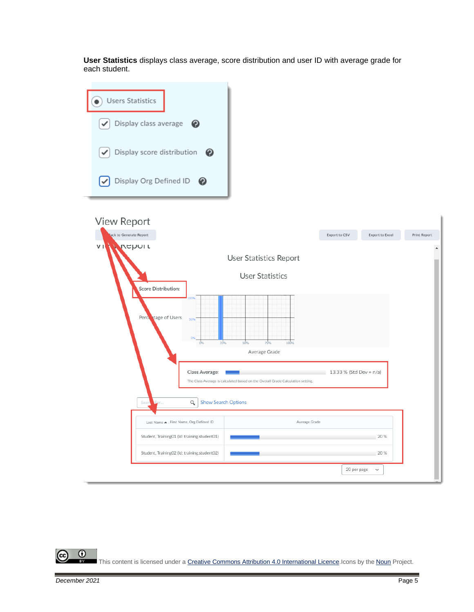**User Statistics** displays class average, score distribution and user ID with average grade for each student.



 $\odot$ This content is licensed under [a Creative Commons Attribution 4.0 International Licence.I](https://creativecommons.org/licenses/by/4.0/)cons by the [Noun](https://creativecommons.org/website-icons/) Project.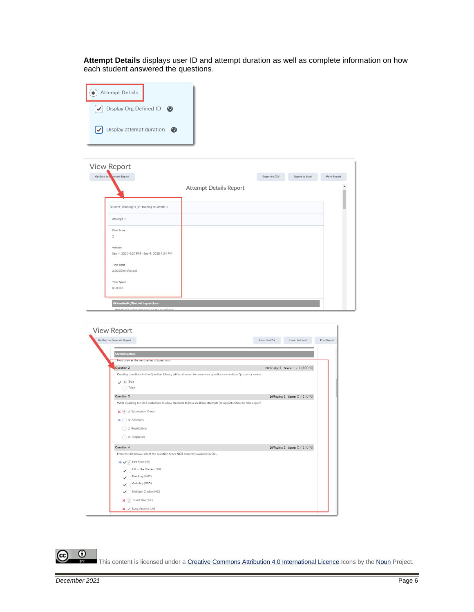**Attempt Details** displays user ID and attempt duration as well as complete information on how each student answered the questions.



| View Report                                                                  |                        |               |                 |              |
|------------------------------------------------------------------------------|------------------------|---------------|-----------------|--------------|
| nerate Report<br>Go Back to                                                  |                        | Export to CSV | Export to Excel | Print Report |
|                                                                              | Attempt Details Report |               |                 |              |
| Student, Training01 (Id: training.student01)                                 |                        |               |                 |              |
| Attempt 1                                                                    |                        |               |                 |              |
| Final Score<br>$\overline{2}$                                                |                        |               |                 |              |
| Written<br>Sep 4, 2020 4:20 PM - Sep 4, 2020 4:24 PM                         |                        |               |                 |              |
| Time Limit<br>2:00:00 (enforced)                                             |                        |               |                 |              |
| <b>Time Spent</b><br>0:04:00                                                 |                        |               |                 |              |
| Video/Audio/Text with questions<br>Match this widow and answer the numbiance |                        |               |                 |              |

| Go Back to Generate Report                                                                                      | Export to CSV | <b>Export to Excel</b>               |
|-----------------------------------------------------------------------------------------------------------------|---------------|--------------------------------------|
| <b>Second Section</b>                                                                                           |               |                                      |
| турту апотуст специал основари провитить.                                                                       |               |                                      |
| Question 2                                                                                                      |               | Difficulty: 1 Score: 1 / 1 (100 %)   |
| Creating questions in the Question Library will enable you to reuse your questions on various Quizzes or exams. |               |                                      |
| $\sqrt{a}$ True                                                                                                 |               |                                      |
| ◯ False                                                                                                         |               |                                      |
| Question 3                                                                                                      |               | Difficulty: $1$ Score: $0 / 1 (0 %)$ |
| What Quizzing tab do I customize to allow students to have multiple attempts (or opportunities) to take a quiz? |               |                                      |
| (a) a) Submission Views                                                                                         |               |                                      |
| $\Rightarrow$ ( ) b) Attempts                                                                                   |               |                                      |
| c) Restrictions                                                                                                 |               |                                      |
| d) Properties                                                                                                   |               |                                      |
|                                                                                                                 |               |                                      |
| Question 4                                                                                                      |               | Difficulty: $1$ Score: $0 / 1 (0 %)$ |
| From the list below, select the question types NOT currently available in D2L                                   |               |                                      |
| → √ → Hot Spot (HS)                                                                                             |               |                                      |
| Fill-in-the-Blanks (FIB)                                                                                        |               |                                      |
| Matching (MAT)                                                                                                  |               |                                      |
| Ordering (ORD)                                                                                                  |               |                                      |
| $\sqrt{\phantom{a}}$ Multiple Choice (MC)                                                                       |               |                                      |
| $\mathbf{x}$ $\sqrt{ }$ True/False (T/F)                                                                        |               |                                      |
| <b>x</b> $\vee$ Long Answer (LA)                                                                                |               |                                      |

 $\overline{0}$ (cc This content is licensed under [a Creative Commons Attribution 4.0 International Licence.I](https://creativecommons.org/licenses/by/4.0/)cons by the [Noun](https://creativecommons.org/website-icons/) Project.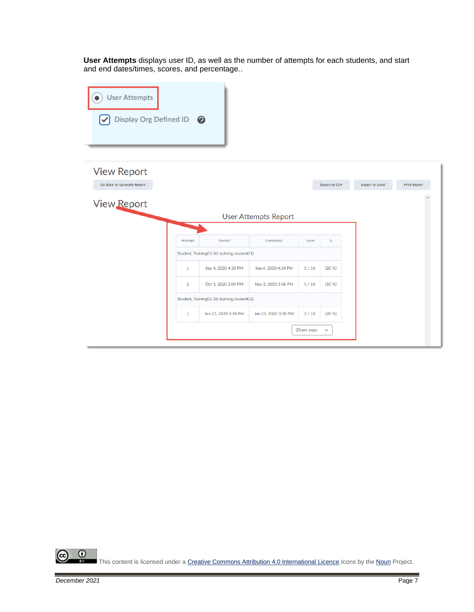**User Attempts** displays user ID, as well as the number of attempts for each students, and start and end dates/times, scores, and percentage..



 $\odot$ This content is licensed under [a Creative Commons Attribution 4.0 International Licence.I](https://creativecommons.org/licenses/by/4.0/)cons by the [Noun](https://creativecommons.org/website-icons/) Project.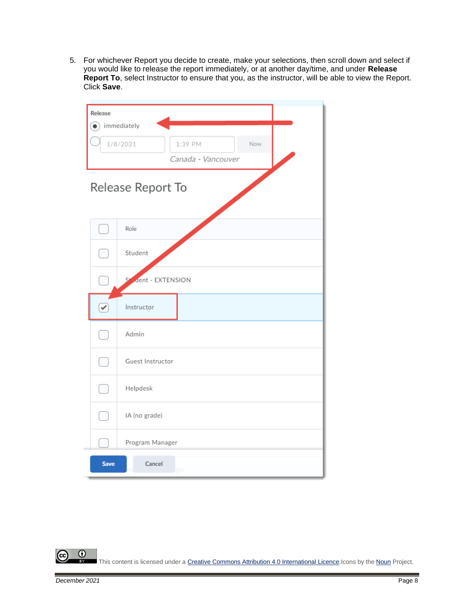5. For whichever Report you decide to create, make your selections, then scroll down and select if you would like to release the report immediately, or at another day/time, and under **Release Report To**, select Instructor to ensure that you, as the instructor, will be able to view the Report. Click **Save**.

| Release                    |                                 |  |  |  |  |
|----------------------------|---------------------------------|--|--|--|--|
| $\bigodot$ immediately     |                                 |  |  |  |  |
| 1/8/2021<br>1:39 PM<br>Now |                                 |  |  |  |  |
|                            | Canada - Vancouver              |  |  |  |  |
| Release Report To          |                                 |  |  |  |  |
|                            | Role                            |  |  |  |  |
|                            | Student                         |  |  |  |  |
|                            | S <sup>4</sup> dent - EXTENSION |  |  |  |  |
| $\overline{\mathcal{C}}$   | Instructor                      |  |  |  |  |
|                            | Admin                           |  |  |  |  |
|                            | Guest Instructor                |  |  |  |  |
|                            | Helpdesk                        |  |  |  |  |
|                            | IA (no grade)                   |  |  |  |  |
|                            | Program Manager                 |  |  |  |  |
| <b>Save</b>                | Cancel<br>gn                    |  |  |  |  |

 $\overline{0}$ (cc This content is licensed under [a Creative Commons Attribution 4.0 International Licence.I](https://creativecommons.org/licenses/by/4.0/)cons by the [Noun](https://creativecommons.org/website-icons/) Project.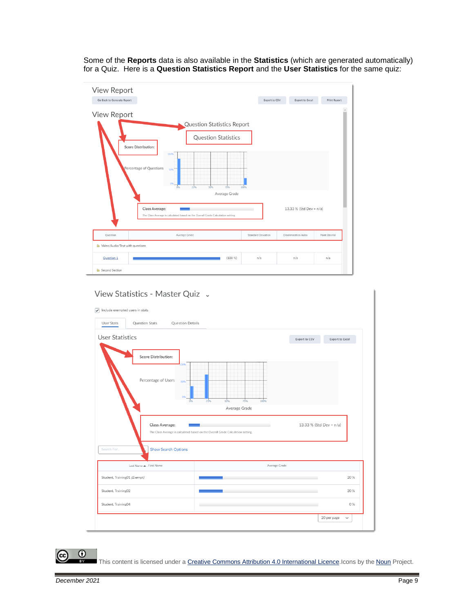Some of the **Reports** data is also available in the **Statistics** (which are generated automatically) for a Quiz. Here is a **Question Statistics Report** and the **User Statistics** for the same quiz:



## View Statistics - Master Quiz ~

|                              | Question Details                                                                |                         |                        |
|------------------------------|---------------------------------------------------------------------------------|-------------------------|------------------------|
| <b>User Statistics</b>       |                                                                                 | Export to CSV           | <b>Export to Excel</b> |
| <b>Score Distribution:</b>   |                                                                                 |                         |                        |
| Percentage of Users          | 50%<br>100%<br>75%<br>50%<br>25%                                                |                         |                        |
|                              | Average Grade                                                                   |                         |                        |
| Class Average:               | The Class Average is calculated based on the Overall Grade Calculation setting. | 13.33 % (Std Dev = n/a) |                        |
|                              | <b>Show Search Options</b>                                                      |                         |                        |
| Search For                   |                                                                                 |                         |                        |
| Last Name ▲ , First Name     | Average Grade                                                                   |                         |                        |
| Student, Training01 (Exempt) |                                                                                 |                         | 20 %                   |
| Student, Training02          |                                                                                 |                         | 20 %                   |

 $\overline{0}$ (cc

This content is licensed under [a Creative Commons Attribution 4.0 International Licence.I](https://creativecommons.org/licenses/by/4.0/)cons by the [Noun](https://creativecommons.org/website-icons/) Project.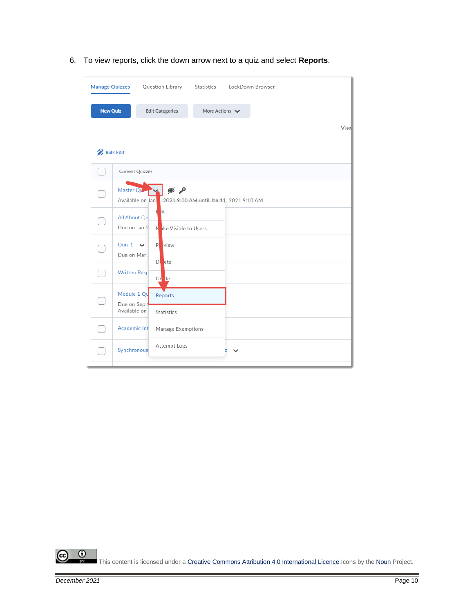6. To view reports, click the down arrow next to a quiz and select **Reports**.

| <b>Manage Quizzes</b> |                                             | LockDown Browser<br>Question Library<br>Statistics           |
|-----------------------|---------------------------------------------|--------------------------------------------------------------|
| <b>New Quiz</b>       |                                             | <b>Edit Categories</b><br>More Actions $\blacktriangleright$ |
|                       |                                             | Viel                                                         |
| <b>Bulk Edit</b>      |                                             |                                                              |
|                       | Current Quizzes                             |                                                              |
|                       | Master Que<br>Available on Jan.             | م ک<br>2021 9:00 AM until Jan 11, 2021 9:10 AM               |
|                       | All About Qu<br>Due on Jan 2                | lit<br>H<br>Nake Visible to Users                            |
|                       | Quiz $1 \vee$<br>Due on Mar 1               | P.<br>view<br>$D$ ete                                        |
|                       | <b>Written Resp</b>                         | Gr de                                                        |
|                       | Module 1 Qu<br>Due on Sep 1<br>Available on | Reports<br>Statistics                                        |
|                       | Academic Int                                | Manage Exemptions                                            |
|                       | Synchronous                                 | Attempt Logs<br>Z                                            |

 $\odot$ <u>(ଜ</u> This content is licensed under [a Creative Commons Attribution 4.0 International Licence.I](https://creativecommons.org/licenses/by/4.0/)cons by the [Noun](https://creativecommons.org/website-icons/) Project.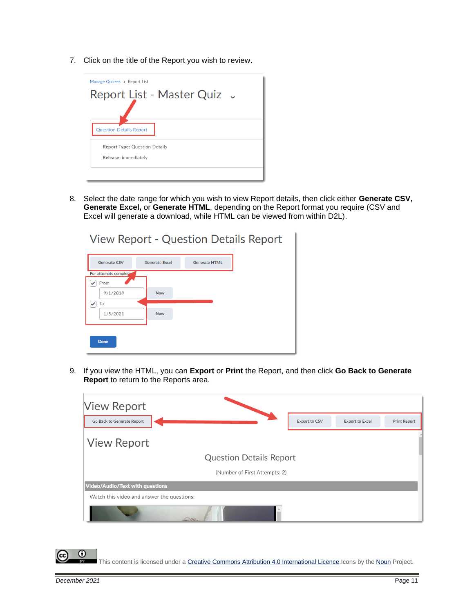7. Click on the title of the Report you wish to review.



8. Select the date range for which you wish to view Report details, then click either **Generate CSV, Generate Excel,** or **Generate HTML**, depending on the Report format you require (CSV and Excel will generate a download, while HTML can be viewed from within D2L).

| <b>View Report - Question Details Report</b> |                       |                      |  |  |  |
|----------------------------------------------|-----------------------|----------------------|--|--|--|
| <b>Generate CSV</b>                          | <b>Generate Excel</b> | <b>Generate HTML</b> |  |  |  |
| For attempts complete                        |                       |                      |  |  |  |
| From                                         |                       |                      |  |  |  |
| 9/1/2019                                     | <b>Now</b>            |                      |  |  |  |
| To                                           |                       |                      |  |  |  |
| 1/5/2021                                     | <b>Now</b>            |                      |  |  |  |
|                                              |                       |                      |  |  |  |
| <b>Done</b>                                  |                       |                      |  |  |  |

9. If you view the HTML, you can **Export** or **Print** the Report, and then click **Go Back to Generate Report** to return to the Reports area.





This content is licensed under [a Creative Commons Attribution 4.0 International Licence.I](https://creativecommons.org/licenses/by/4.0/)cons by the [Noun](https://creativecommons.org/website-icons/) Project.